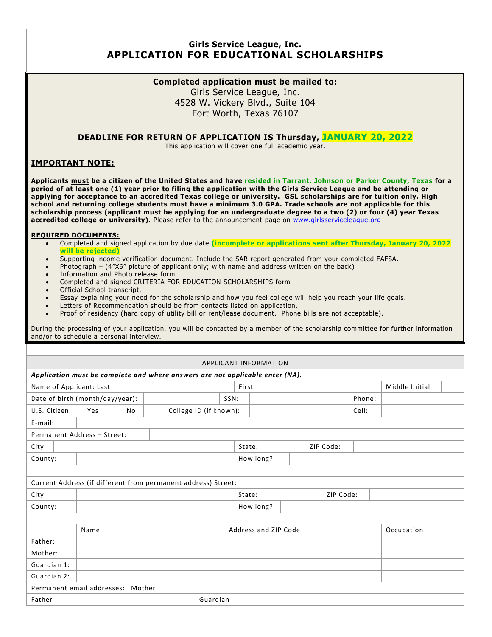# **Girls Service League, Inc. APPLICATION FOR EDUCATIONAL SCHOLARSHIPS**

### **Completed application must be mailed to:**

Girls Service League, Inc. 4528 W. Vickery Blvd., Suite 104 Fort Worth, Texas 76107

## **DEADLINE FOR RETURN OF APPLICATION IS Thursday, JANUARY 20, 2022**

This application will cover one full academic year.

## **IMPORTANT NOTE:**

**Applicants must be a citizen of the United States and have resided in Tarrant, Johnson or Parker County, Texas for a period of at least one (1) year prior to filing the application with the Girls Service League and be attending or applying for acceptance to an accredited Texas college or university. GSL scholarships are for tuition only. High school and returning college students must have a minimum 3.0 GPA. Trade schools are not applicable for this scholarship process (applicant must be applying for an undergraduate degree to a two (2) or four (4) year Texas** accredited college or university). Please refer to the announcement page on [www.girlsserviceleague.org](http://www.girlsserviceleague.org/)

#### **REQUIRED DOCUMENTS:**

- Completed and signed application by due date **(incomplete or applications sent after Thursday, January 20, 2022 will be rejected)**
- Supporting income verification document. Include the SAR report generated from your completed FAFSA.
- Photograph (4"X6" picture of applicant only; with name and address written on the back)
- Information and Photo release form
- Completed and signed CRITERIA FOR EDUCATION SCHOLARSHIPS form
- Official School transcript.
- Essay explaining your need for the scholarship and how you feel college will help you reach your life goals.
- Letters of Recommendation should be from contacts listed on application.
- Proof of residency (hard copy of utility bill or rent/lease document. Phone bills are not acceptable).

During the processing of your application, you will be contacted by a member of the scholarship committee for further information and/or to schedule a personal interview.

| APPLICANT INFORMATION                                                         |                                                               |  |  |  |      |        |  |  |            |           |        |  |  |
|-------------------------------------------------------------------------------|---------------------------------------------------------------|--|--|--|------|--------|--|--|------------|-----------|--------|--|--|
| Application must be complete and where answers are not applicable enter (NA). |                                                               |  |  |  |      |        |  |  |            |           |        |  |  |
| Name of Applicant: Last<br>Middle Initial<br>First                            |                                                               |  |  |  |      |        |  |  |            |           |        |  |  |
| Date of birth (month/day/year):                                               |                                                               |  |  |  | SSN: |        |  |  |            |           | Phone: |  |  |
| College ID (if known):<br>U.S. Citizen:<br>Yes<br>No                          |                                                               |  |  |  |      |        |  |  | Cell:      |           |        |  |  |
| E-mail:                                                                       |                                                               |  |  |  |      |        |  |  |            |           |        |  |  |
|                                                                               | Permanent Address - Street:                                   |  |  |  |      |        |  |  |            |           |        |  |  |
| City:                                                                         |                                                               |  |  |  |      | State: |  |  |            | ZIP Code: |        |  |  |
| County:                                                                       | How long?                                                     |  |  |  |      |        |  |  |            |           |        |  |  |
|                                                                               |                                                               |  |  |  |      |        |  |  |            |           |        |  |  |
|                                                                               | Current Address (if different from permanent address) Street: |  |  |  |      |        |  |  |            |           |        |  |  |
| City:                                                                         |                                                               |  |  |  |      | State: |  |  |            | ZIP Code: |        |  |  |
| County:                                                                       | How long?                                                     |  |  |  |      |        |  |  |            |           |        |  |  |
|                                                                               |                                                               |  |  |  |      |        |  |  |            |           |        |  |  |
|                                                                               | Address and ZIP Code<br>Name                                  |  |  |  |      |        |  |  | Occupation |           |        |  |  |
| Father:                                                                       |                                                               |  |  |  |      |        |  |  |            |           |        |  |  |
| Mother:                                                                       |                                                               |  |  |  |      |        |  |  |            |           |        |  |  |
| Guardian 1:                                                                   |                                                               |  |  |  |      |        |  |  |            |           |        |  |  |
| Guardian 2:                                                                   |                                                               |  |  |  |      |        |  |  |            |           |        |  |  |
| Permanent email addresses: Mother                                             |                                                               |  |  |  |      |        |  |  |            |           |        |  |  |
| Guardian<br>Father                                                            |                                                               |  |  |  |      |        |  |  |            |           |        |  |  |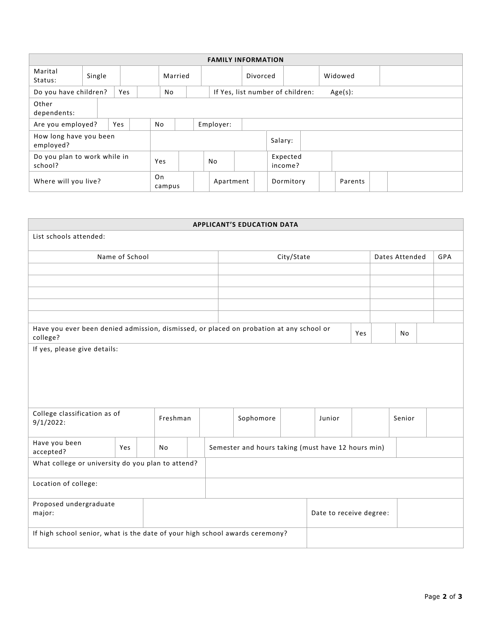| <b>FAMILY INFORMATION</b>               |        |  |    |              |           |           |          |                                  |         |  |         |  |  |
|-----------------------------------------|--------|--|----|--------------|-----------|-----------|----------|----------------------------------|---------|--|---------|--|--|
| Marital<br>Status:                      | Single |  |    | Married      |           |           | Divorced |                                  | Widowed |  |         |  |  |
| Do you have children?<br>Yes            |        |  |    | No           |           |           |          | If Yes, list number of children: |         |  | Age(s): |  |  |
| Other<br>dependents:                    |        |  |    |              |           |           |          |                                  |         |  |         |  |  |
| Are you employed?<br>Yes                |        |  | No |              | Employer: |           |          |                                  |         |  |         |  |  |
| How long have you been<br>employed?     |        |  |    |              |           |           |          | Salary:                          |         |  |         |  |  |
| Do you plan to work while in<br>school? |        |  |    | Yes          |           | No        |          | Expected<br>income?              |         |  |         |  |  |
| Where will you live?                    |        |  |    | On<br>campus |           | Apartment |          | Dormitory                        |         |  | Parents |  |  |

| <b>APPLICANT'S EDUCATION DATA</b>                                                                          |                |     |  |                                                    |  |                |  |           |        |  |  |
|------------------------------------------------------------------------------------------------------------|----------------|-----|--|----------------------------------------------------|--|----------------|--|-----------|--------|--|--|
| List schools attended:                                                                                     |                |     |  |                                                    |  |                |  |           |        |  |  |
|                                                                                                            | Name of School |     |  | City/State                                         |  | Dates Attended |  |           | GPA    |  |  |
|                                                                                                            |                |     |  |                                                    |  |                |  |           |        |  |  |
|                                                                                                            |                |     |  |                                                    |  |                |  |           |        |  |  |
|                                                                                                            |                |     |  |                                                    |  |                |  |           |        |  |  |
|                                                                                                            |                |     |  |                                                    |  |                |  |           |        |  |  |
|                                                                                                            |                |     |  |                                                    |  |                |  |           |        |  |  |
| Have you ever been denied admission, dismissed, or placed on probation at any school or<br>Yes<br>college? |                |     |  |                                                    |  |                |  | <b>No</b> |        |  |  |
| If yes, please give details:                                                                               |                |     |  |                                                    |  |                |  |           |        |  |  |
|                                                                                                            |                |     |  |                                                    |  |                |  |           |        |  |  |
|                                                                                                            |                |     |  |                                                    |  |                |  |           |        |  |  |
|                                                                                                            |                |     |  |                                                    |  |                |  |           |        |  |  |
|                                                                                                            |                |     |  |                                                    |  |                |  |           |        |  |  |
| College classification as of<br>Freshman<br>$9/1/2022$ :                                                   |                |     |  | Sophomore                                          |  | Junior         |  |           | Senior |  |  |
| Have you been<br>accepted?                                                                                 | Yes            | No. |  | Semester and hours taking (must have 12 hours min) |  |                |  |           |        |  |  |
| What college or university do you plan to attend?                                                          |                |     |  |                                                    |  |                |  |           |        |  |  |
| Location of college:                                                                                       |                |     |  |                                                    |  |                |  |           |        |  |  |
| Proposed undergraduate<br>major:                                                                           |                |     |  | Date to receive degree:                            |  |                |  |           |        |  |  |
| If high school senior, what is the date of your high school awards ceremony?                               |                |     |  |                                                    |  |                |  |           |        |  |  |